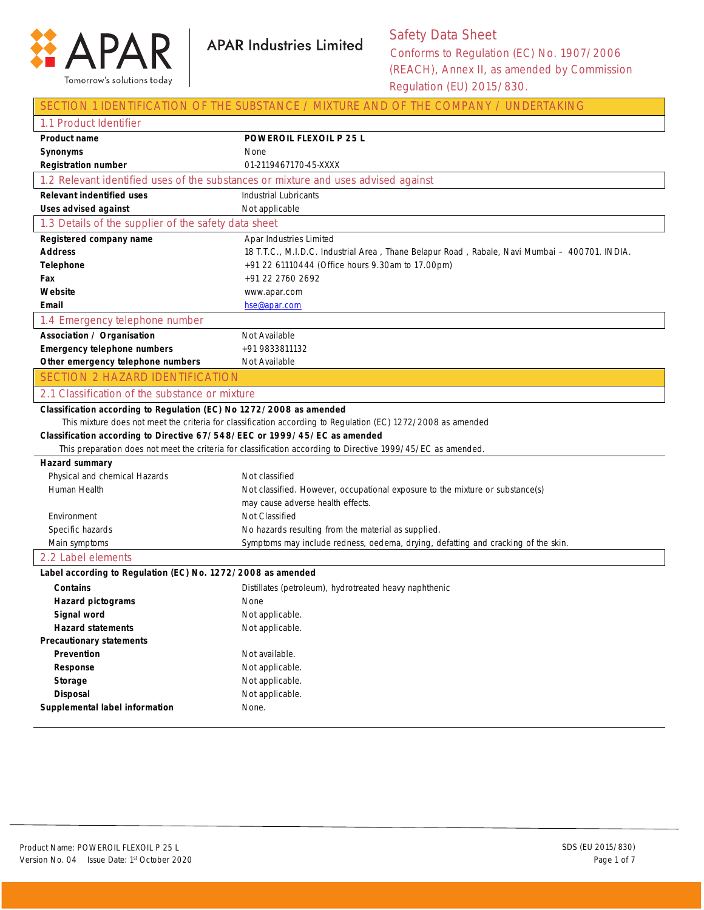

### Safety Data Sheet Conforms to Regulation (EC) No. 1907/2006 (REACH), Annex II, as amended by Commission

Regulation (EU) 2015/830.

|                                                                           | SECTION 1 IDENTIFICATION OF THE SUBSTANCE / MIXTURE AND OF THE COMPANY / UNDERTAKING                         |
|---------------------------------------------------------------------------|--------------------------------------------------------------------------------------------------------------|
| 1.1 Product Identifier                                                    |                                                                                                              |
| <b>Product name</b>                                                       | <b>POWEROIL FLEXOIL P 25 L</b>                                                                               |
| <b>Synonyms</b>                                                           | None                                                                                                         |
| <b>Registration number</b>                                                | 01-2119467170-45-XXXX                                                                                        |
|                                                                           | 1.2 Relevant identified uses of the substances or mixture and uses advised against                           |
| <b>Relevant indentified uses</b>                                          | <b>Industrial Lubricants</b>                                                                                 |
| <b>Uses advised against</b>                                               | Not applicable                                                                                               |
| 1.3 Details of the supplier of the safety data sheet                      |                                                                                                              |
| Registered company name                                                   | Apar Industries Limited                                                                                      |
| <b>Address</b>                                                            | 18 T.T.C., M.I.D.C. Industrial Area, Thane Belapur Road, Rabale, Navi Mumbai - 400701. INDIA.                |
| <b>Telephone</b>                                                          | +91 22 61110444 (Office hours 9.30am to 17.00pm)                                                             |
| Fax                                                                       | +91 22 2760 2692                                                                                             |
| Website                                                                   | www.apar.com                                                                                                 |
| Email                                                                     | hse@apar.com                                                                                                 |
| 1.4 Emergency telephone number                                            |                                                                                                              |
| <b>Association / Organisation</b>                                         | Not Available                                                                                                |
| <b>Emergency telephone numbers</b>                                        | +91 9833811132                                                                                               |
| Other emergency telephone numbers                                         | Not Available                                                                                                |
| <b>SECTION 2 HAZARD IDENTIFICATION</b>                                    |                                                                                                              |
| 2.1 Classification of the substance or mixture                            |                                                                                                              |
| Classification according to Regulation (EC) No 1272/2008 as amended       |                                                                                                              |
|                                                                           | This mixture does not meet the criteria for classification according to Regulation (EC) 1272/2008 as amended |
| Classification according to Directive 67/548/EEC or 1999/45/EC as amended |                                                                                                              |
|                                                                           | This preparation does not meet the criteria for classification according to Directive 1999/45/EC as amended. |
| Hazard summary                                                            |                                                                                                              |
| Physical and chemical Hazards                                             | Not classified                                                                                               |
| Human Health                                                              | Not classified. However, occupational exposure to the mixture or substance(s)                                |
| Environment                                                               | may cause adverse health effects.<br>Not Classified                                                          |
| Specific hazards                                                          | No hazards resulting from the material as supplied.                                                          |
| Main symptoms                                                             | Symptoms may include redness, oedema, drying, defatting and cracking of the skin.                            |
| 2.2 Label elements                                                        |                                                                                                              |
| Label according to Regulation (EC) No. 1272/2008 as amended               |                                                                                                              |
| <b>Contains</b>                                                           | Distillates (petroleum), hydrotreated heavy naphthenic                                                       |
| <b>Hazard pictograms</b>                                                  | None                                                                                                         |
| Signal word                                                               | Not applicable.                                                                                              |
| <b>Hazard statements</b>                                                  | Not applicable.                                                                                              |
| <b>Precautionary statements</b>                                           |                                                                                                              |
| Prevention                                                                | Not available.                                                                                               |
| Response                                                                  | Not applicable.                                                                                              |
| Storage                                                                   | Not applicable.                                                                                              |
| <b>Disposal</b>                                                           | Not applicable.                                                                                              |
| Supplemental label information                                            | None.                                                                                                        |
|                                                                           |                                                                                                              |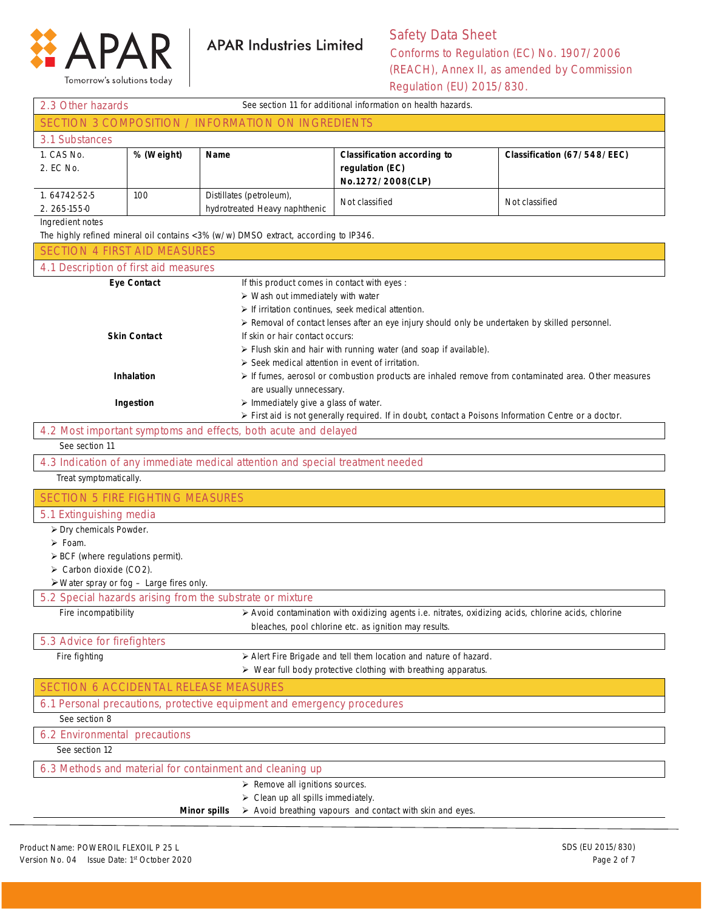

Tomorrow's solutions today

## **APAR Industries Limited**

### Safety Data Sheet Conforms to Regulation (EC) No. 1907/2006 (REACH), Annex II, as amended by Commission

Regulation (EU) 2015/830.

| See section 11 for additional information on health hazards.<br>2.3 Other hazards                        |                                                                |                                                                                                                                                                                                                                               |                                                                                                                                                                                                                                                                            |                             |
|----------------------------------------------------------------------------------------------------------|----------------------------------------------------------------|-----------------------------------------------------------------------------------------------------------------------------------------------------------------------------------------------------------------------------------------------|----------------------------------------------------------------------------------------------------------------------------------------------------------------------------------------------------------------------------------------------------------------------------|-----------------------------|
| SECTION 3 COMPOSITION / INFORMATION ON INGREDIENTS                                                       |                                                                |                                                                                                                                                                                                                                               |                                                                                                                                                                                                                                                                            |                             |
| 3.1 Substances                                                                                           |                                                                |                                                                                                                                                                                                                                               |                                                                                                                                                                                                                                                                            |                             |
| 1. CAS No.<br>2. EC No.                                                                                  | % (Weight)                                                     | <b>Name</b>                                                                                                                                                                                                                                   | <b>Classification according to</b><br>regulation (EC)<br>No.1272/2008(CLP)                                                                                                                                                                                                 | Classification (67/548/EEC) |
| 1.64742-52-5<br>2. 265-155-0                                                                             | 100                                                            | Distillates (petroleum),<br>hydrotreated Heavy naphthenic                                                                                                                                                                                     | Not classified                                                                                                                                                                                                                                                             | Not classified              |
| Ingredient notes<br>The highly refined mineral oil contains <3% (w/w) DMSO extract, according to IP346.  |                                                                |                                                                                                                                                                                                                                               |                                                                                                                                                                                                                                                                            |                             |
| <b>SECTION 4 FIRST AID MEASURES</b>                                                                      |                                                                |                                                                                                                                                                                                                                               |                                                                                                                                                                                                                                                                            |                             |
| 4.1 Description of first aid measures                                                                    |                                                                |                                                                                                                                                                                                                                               |                                                                                                                                                                                                                                                                            |                             |
|                                                                                                          | <b>Eye Contact</b><br><b>Skin Contact</b><br><b>Inhalation</b> | If this product comes in contact with eyes :<br>> Wash out immediately with water<br>$\triangleright$ If irritation continues, seek medical attention.<br>If skin or hair contact occurs:<br>> Seek medical attention in event of irritation. | ≻ Removal of contact lenses after an eye injury should only be undertaken by skilled personnel.<br>> Flush skin and hair with running water (and soap if available).<br>If fumes, aerosol or combustion products are inhaled remove from contaminated area. Other measures |                             |
|                                                                                                          |                                                                | are usually unnecessary.                                                                                                                                                                                                                      |                                                                                                                                                                                                                                                                            |                             |
|                                                                                                          | Ingestion                                                      | > Immediately give a glass of water.                                                                                                                                                                                                          | > First aid is not generally required. If in doubt, contact a Poisons Information Centre or a doctor.                                                                                                                                                                      |                             |
|                                                                                                          |                                                                | 4.2 Most important symptoms and effects, both acute and delayed                                                                                                                                                                               |                                                                                                                                                                                                                                                                            |                             |
| See section 11                                                                                           |                                                                |                                                                                                                                                                                                                                               |                                                                                                                                                                                                                                                                            |                             |
|                                                                                                          |                                                                |                                                                                                                                                                                                                                               |                                                                                                                                                                                                                                                                            |                             |
| 4.3 Indication of any immediate medical attention and special treatment needed<br>Treat symptomatically. |                                                                |                                                                                                                                                                                                                                               |                                                                                                                                                                                                                                                                            |                             |
| <b>SECTION 5 FIRE FIGHTING MEASURES</b>                                                                  |                                                                |                                                                                                                                                                                                                                               |                                                                                                                                                                                                                                                                            |                             |
| 5.1 Extinguishing media                                                                                  |                                                                |                                                                                                                                                                                                                                               |                                                                                                                                                                                                                                                                            |                             |
| > Dry chemicals Powder.                                                                                  |                                                                |                                                                                                                                                                                                                                               |                                                                                                                                                                                                                                                                            |                             |
| $\triangleright$ Foam.                                                                                   |                                                                |                                                                                                                                                                                                                                               |                                                                                                                                                                                                                                                                            |                             |
| $\triangleright$ BCF (where regulations permit).                                                         |                                                                |                                                                                                                                                                                                                                               |                                                                                                                                                                                                                                                                            |                             |
| > Carbon dioxide (CO2).                                                                                  |                                                                |                                                                                                                                                                                                                                               |                                                                                                                                                                                                                                                                            |                             |
| $\triangleright$ Water spray or fog $-$ Large fires only.                                                |                                                                |                                                                                                                                                                                                                                               |                                                                                                                                                                                                                                                                            |                             |
|                                                                                                          |                                                                | 5.2 Special hazards arising from the substrate or mixture                                                                                                                                                                                     |                                                                                                                                                                                                                                                                            |                             |
|                                                                                                          |                                                                |                                                                                                                                                                                                                                               | Fire incompatibility entries and the Avoid contamination with oxidizing agents i.e. nitrates, oxidizing acids, chlorine acids, chlorine<br>bleaches, pool chlorine etc. as ignition may results.                                                                           |                             |
| 5.3 Advice for firefighters                                                                              |                                                                |                                                                                                                                                                                                                                               |                                                                                                                                                                                                                                                                            |                             |
| Fire fighting                                                                                            |                                                                |                                                                                                                                                                                                                                               | > Alert Fire Brigade and tell them location and nature of hazard.<br>$\triangleright$ Wear full body protective clothing with breathing apparatus.                                                                                                                         |                             |
| <b>SECTION 6 ACCIDENTAL RELEASE MEASURES</b>                                                             |                                                                |                                                                                                                                                                                                                                               |                                                                                                                                                                                                                                                                            |                             |
|                                                                                                          |                                                                | 6.1 Personal precautions, protective equipment and emergency procedures                                                                                                                                                                       |                                                                                                                                                                                                                                                                            |                             |
| See section 8                                                                                            |                                                                |                                                                                                                                                                                                                                               |                                                                                                                                                                                                                                                                            |                             |
| 6.2 Environmental precautions                                                                            |                                                                |                                                                                                                                                                                                                                               |                                                                                                                                                                                                                                                                            |                             |
| See section 12                                                                                           |                                                                |                                                                                                                                                                                                                                               |                                                                                                                                                                                                                                                                            |                             |
|                                                                                                          |                                                                | 6.3 Methods and material for containment and cleaning up                                                                                                                                                                                      |                                                                                                                                                                                                                                                                            |                             |
|                                                                                                          |                                                                | $\triangleright$ Remove all ignitions sources.                                                                                                                                                                                                |                                                                                                                                                                                                                                                                            |                             |
|                                                                                                          |                                                                | $\triangleright$ Clean up all spills immediately.                                                                                                                                                                                             |                                                                                                                                                                                                                                                                            |                             |

**Minor spills** > Avoid breathing vapours and contact with skin and eyes.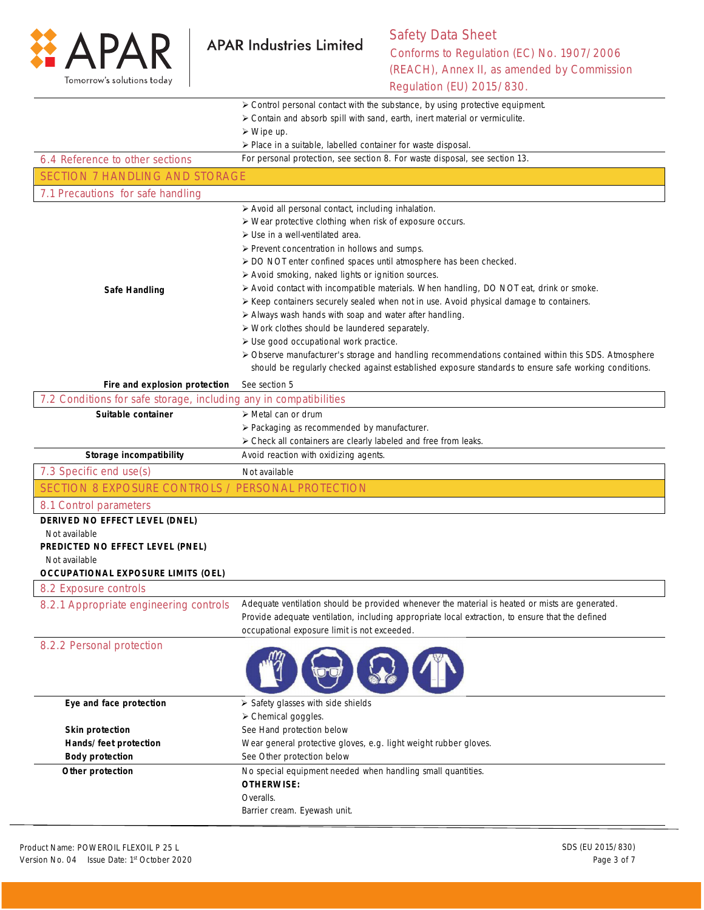

# Safety Data Sheet Conforms to Regulation (EC) No. 1907/2006

(REACH), Annex II, as amended by Commission Regulation (EU) 2015/830.

|                                                                   | > Control personal contact with the substance, by using protective equipment.                         |
|-------------------------------------------------------------------|-------------------------------------------------------------------------------------------------------|
|                                                                   | > Contain and absorb spill with sand, earth, inert material or vermiculite.                           |
|                                                                   | $\triangleright$ Wipe up.                                                                             |
|                                                                   | > Place in a suitable, labelled container for waste disposal.                                         |
| 6.4 Reference to other sections                                   | For personal protection, see section 8. For waste disposal, see section 13.                           |
| <b>SECTION 7 HANDLING AND STORAGE</b>                             |                                                                                                       |
| 7.1 Precautions for safe handling                                 |                                                                                                       |
|                                                                   | > Avoid all personal contact, including inhalation.                                                   |
|                                                                   | > Wear protective clothing when risk of exposure occurs.                                              |
|                                                                   | $\triangleright$ Use in a well-ventilated area.                                                       |
|                                                                   | $\triangleright$ Prevent concentration in hollows and sumps.                                          |
|                                                                   | > DO NOT enter confined spaces until atmosphere has been checked.                                     |
|                                                                   | > Avoid smoking, naked lights or ignition sources.                                                    |
| <b>Safe Handling</b>                                              | > Avoid contact with incompatible materials. When handling, DO NOT eat, drink or smoke.               |
|                                                                   | > Keep containers securely sealed when not in use. Avoid physical damage to containers.               |
|                                                                   | > Always wash hands with soap and water after handling.                                               |
|                                                                   | > Work clothes should be laundered separately.                                                        |
|                                                                   | > Use good occupational work practice.                                                                |
|                                                                   | > Observe manufacturer's storage and handling recommendations contained within this SDS. Atmosphere   |
|                                                                   | should be reqularly checked against established exposure standards to ensure safe working conditions. |
| Fire and explosion protection                                     | See section 5                                                                                         |
| 7.2 Conditions for safe storage, including any in compatibilities |                                                                                                       |
| Suitable container                                                | $\triangleright$ Metal can or drum                                                                    |
|                                                                   | > Packaging as recommended by manufacturer.                                                           |
|                                                                   | > Check all containers are clearly labeled and free from leaks.                                       |
| Storage incompatibility                                           | Avoid reaction with oxidizing agents.                                                                 |
| 7.3 Specific end use(s)                                           | Not available                                                                                         |
| SECTION 8 EXPOSURE CONTROLS / PERSONAL PROTECTION                 |                                                                                                       |
| 8.1 Control parameters                                            |                                                                                                       |
| DERIVED NO EFFECT LEVEL (DNEL)                                    |                                                                                                       |
| Not available                                                     |                                                                                                       |
| PREDICTED NO EFFECT LEVEL (PNEL)                                  |                                                                                                       |
| Not available                                                     |                                                                                                       |
| <b>OCCUPATIONAL EXPOSURE LIMITS (OEL)</b>                         |                                                                                                       |
| 8.2 Exposure controls                                             |                                                                                                       |
| 8.2.1 Appropriate engineering controls                            | Adequate ventilation should be provided whenever the material is heated or mists are generated.       |
|                                                                   | Provide adequate ventilation, including appropriate local extraction, to ensure that the defined      |
|                                                                   | occupational exposure limit is not exceeded.                                                          |
| 8.2.2 Personal protection                                         |                                                                                                       |
|                                                                   |                                                                                                       |
|                                                                   |                                                                                                       |
|                                                                   |                                                                                                       |
| Eye and face protection                                           | $\triangleright$ Safety glasses with side shields                                                     |
|                                                                   | > Chemical goggles.                                                                                   |
| <b>Skin protection</b>                                            | See Hand protection below                                                                             |
| Hands/feet protection                                             | Wear general protective gloves, e.g. light weight rubber gloves.                                      |
| <b>Body protection</b>                                            | See Other protection below                                                                            |
| Other protection                                                  | No special equipment needed when handling small quantities.                                           |
|                                                                   | <b>OTHERWISE:</b>                                                                                     |
|                                                                   | Overalls.                                                                                             |
|                                                                   | Barrier cream. Eyewash unit.                                                                          |
|                                                                   |                                                                                                       |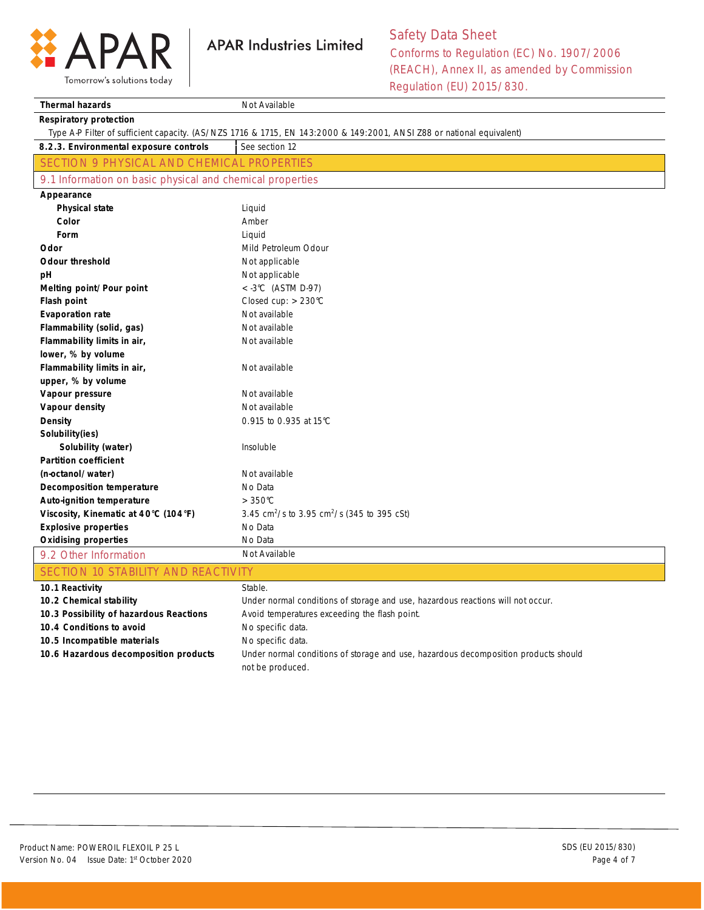

Tomorrow's solutions today

Safety Data Sheet Conforms to Regulation (EC) No. 1907/2006 (REACH), Annex II, as amended by Commission Regulation (EU) 2015/830.

| <b>Thermal hazards</b>                                    | Not Available                                                                                                         |
|-----------------------------------------------------------|-----------------------------------------------------------------------------------------------------------------------|
| <b>Respiratory protection</b>                             |                                                                                                                       |
|                                                           | Type A-P Filter of sufficient capacity. (AS/NZS 1716 & 1715, EN 143:2000 & 149:2001, ANSI Z88 or national equivalent) |
| 8.2.3. Environmental exposure controls                    | See section 12                                                                                                        |
| SECTION 9 PHYSICAL AND CHEMICAL PROPERTIES                |                                                                                                                       |
| 9.1 Information on basic physical and chemical properties |                                                                                                                       |
| Appearance                                                |                                                                                                                       |
| <b>Physical state</b>                                     | Liquid                                                                                                                |
| Color                                                     | Amber                                                                                                                 |
| Form                                                      | Liquid                                                                                                                |
| Odor                                                      | Mild Petroleum Odour                                                                                                  |
| <b>Odour threshold</b>                                    | Not applicable                                                                                                        |
| рH                                                        | Not applicable                                                                                                        |
| Melting point/Pour point                                  | $<$ -3°C (ASTM D-97)                                                                                                  |
| <b>Flash point</b>                                        | Closed cup: $> 230^{\circ}$ C                                                                                         |
| <b>Evaporation rate</b>                                   | Not available                                                                                                         |
| Flammability (solid, gas)                                 | Not available                                                                                                         |
| Flammability limits in air,                               | Not available                                                                                                         |
| lower, % by volume                                        |                                                                                                                       |
| Flammability limits in air,                               | Not available                                                                                                         |
| upper, % by volume                                        |                                                                                                                       |
| Vapour pressure                                           | Not available                                                                                                         |
| Vapour density                                            | Not available                                                                                                         |
| Density                                                   | 0.915 to 0.935 at 15°C                                                                                                |
| Solubility(ies)                                           |                                                                                                                       |
| Solubility (water)                                        | Insoluble                                                                                                             |
| <b>Partition coefficient</b>                              |                                                                                                                       |
| (n-octanol/water)                                         | Not available                                                                                                         |
| Decomposition temperature                                 | No Data                                                                                                               |
| Auto-ignition temperature                                 | $>350^{\circ}$ C                                                                                                      |
| Viscosity, Kinematic at 40°C (104°F)                      | 3.45 cm <sup>2</sup> /s to 3.95 cm <sup>2</sup> /s (345 to 395 cSt)                                                   |
| <b>Explosive properties</b>                               | No Data                                                                                                               |
| <b>Oxidising properties</b>                               | No Data                                                                                                               |
| 9.2 Other Information                                     | Not Available                                                                                                         |
| SECTION 10 STABILITY AND REACTIVITY                       |                                                                                                                       |
| 10.1 Reactivity                                           | Stable.                                                                                                               |
| 10.2 Chemical stability                                   | Under normal conditions of storage and use, hazardous reactions will not occur.                                       |
| 10.3 Possibility of hazardous Reactions                   | Avoid temperatures exceeding the flash point.                                                                         |
| 10.4 Conditions to avoid                                  | No specific data.                                                                                                     |
| 10.5 Incompatible materials                               | No specific data.                                                                                                     |
| 10.6 Hazardous decomposition products                     | Under normal conditions of storage and use, hazardous decomposition products should<br>not be produced.               |

**APAR Industries Limited**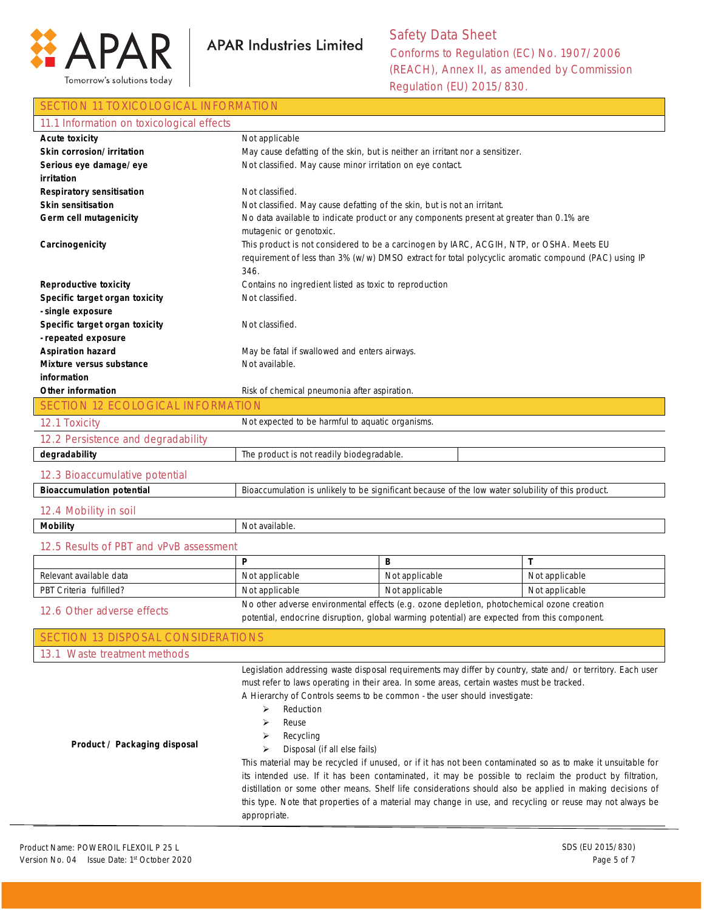

#### SECTION 11 TOXICOLOGICAL INFORMATION

| 11.1 Information on toxicological effects                          |                                                                               |                                                                                                              |                |
|--------------------------------------------------------------------|-------------------------------------------------------------------------------|--------------------------------------------------------------------------------------------------------------|----------------|
| <b>Acute toxicity</b>                                              | Not applicable                                                                |                                                                                                              |                |
| Skin corrosion/irritation                                          | May cause defatting of the skin, but is neither an irritant nor a sensitizer. |                                                                                                              |                |
| Serious eye damage/eye                                             | Not classified. May cause minor irritation on eye contact.                    |                                                                                                              |                |
| irritation                                                         |                                                                               |                                                                                                              |                |
| <b>Respiratory sensitisation</b><br>Skin sensitisation             | Not classified.                                                               |                                                                                                              |                |
| Germ cell mutagenicity                                             | Not classified. May cause defatting of the skin, but is not an irritant.      | No data available to indicate product or any components present at greater than 0.1% are                     |                |
|                                                                    | mutagenic or genotoxic.                                                       |                                                                                                              |                |
| Carcinogenicity                                                    |                                                                               | This product is not considered to be a carcinogen by IARC, ACGIH, NTP, or OSHA. Meets EU                     |                |
|                                                                    |                                                                               | requirement of less than 3% (w/w) DMSO extract for total polycyclic aromatic compound (PAC) using IP         |                |
|                                                                    | 346.                                                                          |                                                                                                              |                |
| <b>Reproductive toxicity</b>                                       | Contains no ingredient listed as toxic to reproduction                        |                                                                                                              |                |
| Specific target organ toxicity                                     | Not classified.                                                               |                                                                                                              |                |
| - single exposure                                                  |                                                                               |                                                                                                              |                |
| Specific target organ toxicity                                     | Not classified.                                                               |                                                                                                              |                |
| - repeated exposure                                                |                                                                               |                                                                                                              |                |
| <b>Aspiration hazard</b>                                           | May be fatal if swallowed and enters airways.                                 |                                                                                                              |                |
| Mixture versus substance<br>information                            | Not available.                                                                |                                                                                                              |                |
| Other information                                                  | Risk of chemical pneumonia after aspiration.                                  |                                                                                                              |                |
| <b>SECTION 12 ECOLOGICAL INFORMATION</b>                           |                                                                               |                                                                                                              |                |
| 12.1 Toxicity                                                      | Not expected to be harmful to aquatic organisms.                              |                                                                                                              |                |
| 12.2 Persistence and degradability                                 |                                                                               |                                                                                                              |                |
| degradability                                                      | The product is not readily biodegradable.                                     |                                                                                                              |                |
|                                                                    |                                                                               |                                                                                                              |                |
| 12.3 Bioaccumulative potential<br><b>Bioaccumulation potential</b> |                                                                               | Bioaccumulation is unlikely to be significant because of the low water solubility of this product.           |                |
|                                                                    |                                                                               |                                                                                                              |                |
| 12.4 Mobility in soil                                              |                                                                               |                                                                                                              |                |
| <b>Mobility</b>                                                    | Not available.                                                                |                                                                                                              |                |
| 12.5 Results of PBT and vPvB assessment                            |                                                                               |                                                                                                              |                |
|                                                                    | P                                                                             | В                                                                                                            | T              |
| Relevant available data                                            | Not applicable                                                                | Not applicable                                                                                               | Not applicable |
| PBT Criteria fulfilled?                                            | Not applicable                                                                | Not applicable                                                                                               | Not applicable |
| 12.6 Other adverse effects                                         |                                                                               | No other adverse environmental effects (e.g. ozone depletion, photochemical ozone creation                   |                |
|                                                                    |                                                                               | potential, endocrine disruption, global warming potential) are expected from this component.                 |                |
| SECTION 13 DISPOSAL CONSIDERATIONS                                 |                                                                               |                                                                                                              |                |
| 13.1 Waste treatment methods                                       |                                                                               |                                                                                                              |                |
|                                                                    |                                                                               | Legislation addressing waste disposal requirements may differ by country, state and/ or territory. Each user |                |
|                                                                    |                                                                               | must refer to laws operating in their area. In some areas, certain wastes must be tracked.                   |                |
|                                                                    |                                                                               | A Hierarchy of Controls seems to be common - the user should investigate:                                    |                |
|                                                                    | ⋗<br>Reduction                                                                |                                                                                                              |                |
|                                                                    | ➤<br>Reuse<br>Recycling<br>➤                                                  |                                                                                                              |                |
| Product / Packaging disposal                                       | ➤<br>Disposal (if all else fails)                                             |                                                                                                              |                |
|                                                                    |                                                                               | This material may be recycled if unused, or if it has not been contaminated so as to make it unsuitable for  |                |
|                                                                    |                                                                               | its intended use. If it has been contaminated, it may be possible to reclaim the product by filtration,      |                |
|                                                                    |                                                                               | distillation or some other means. Shelf life considerations should also be applied in making decisions of    |                |
|                                                                    |                                                                               | this type. Note that properties of a material may change in use, and recycling or reuse may not always be    |                |
|                                                                    | appropriate.                                                                  |                                                                                                              |                |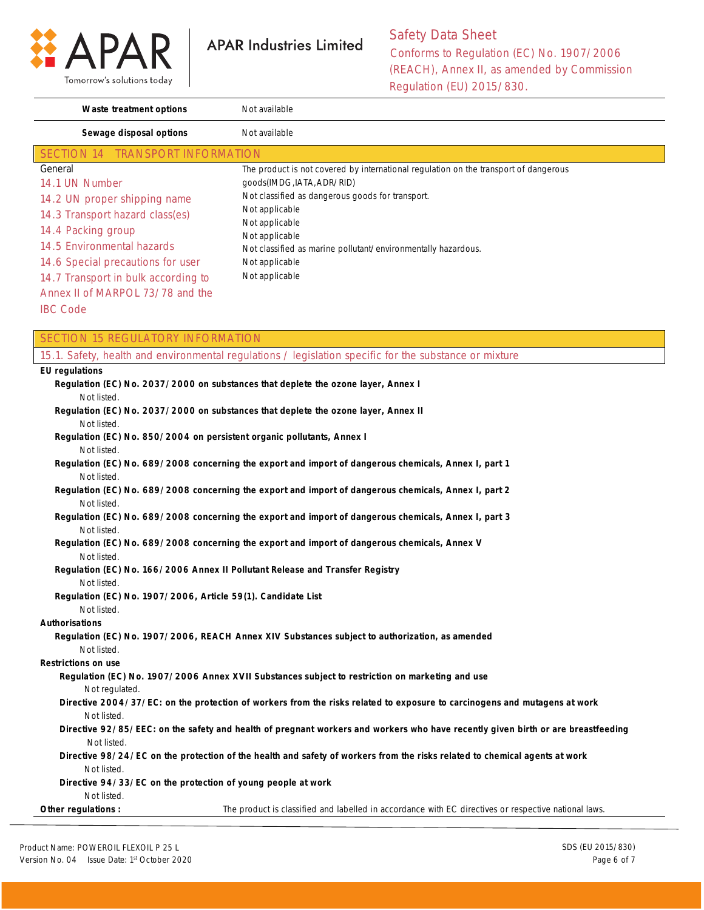

| Waste treatment options             | Not available                                                                        |
|-------------------------------------|--------------------------------------------------------------------------------------|
| Sewage disposal options             | Not available                                                                        |
| SECTION 14 TRANSPORT INFORMATION    |                                                                                      |
| General                             | The product is not covered by international regulation on the transport of dangerous |
| 14.1 UN Number                      | qoods(IMDG, IATA, ADR/RID)                                                           |
| 14.2 UN proper shipping name        | Not classified as dangerous goods for transport.                                     |
| 14.3 Transport hazard class(es)     | Not applicable                                                                       |
| 14.4 Packing group                  | Not applicable                                                                       |
| 14.5 Environmental hazards          | Not applicable<br>Not classified as marine pollutant/environmentally hazardous.      |
| 14.6 Special precautions for user   | Not applicable                                                                       |
| 14.7 Transport in bulk according to | Not applicable                                                                       |
| Annex II of MARPOL 73/78 and the    |                                                                                      |
|                                     |                                                                                      |

IBC Code

| <b>SECTION 15 REGULATORY INFORMATION</b>                     |                                                                                                                                  |
|--------------------------------------------------------------|----------------------------------------------------------------------------------------------------------------------------------|
|                                                              | 15.1. Safety, health and environmental regulations / legislation specific for the substance or mixture                           |
| <b>EU</b> regulations                                        |                                                                                                                                  |
|                                                              | Regulation (EC) No. 2037/2000 on substances that deplete the ozone layer, Annex I                                                |
| Not listed.                                                  |                                                                                                                                  |
|                                                              | Regulation (EC) No. 2037/2000 on substances that deplete the ozone layer, Annex II                                               |
| Not listed.                                                  |                                                                                                                                  |
|                                                              | Regulation (EC) No. 850/2004 on persistent organic pollutants, Annex I                                                           |
| Not listed.                                                  |                                                                                                                                  |
|                                                              | Regulation (EC) No. 689/2008 concerning the export and import of dangerous chemicals, Annex I, part 1                            |
| Not listed.                                                  |                                                                                                                                  |
|                                                              | Regulation (EC) No. 689/2008 concerning the export and import of dangerous chemicals, Annex I, part 2                            |
| Not listed.                                                  |                                                                                                                                  |
|                                                              | Regulation (EC) No. 689/2008 concerning the export and import of dangerous chemicals, Annex I, part 3                            |
| Not listed.                                                  |                                                                                                                                  |
| Not listed.                                                  | Regulation (EC) No. 689/2008 concerning the export and import of dangerous chemicals, Annex V                                    |
|                                                              | Regulation (EC) No. 166/2006 Annex II Pollutant Release and Transfer Registry                                                    |
| Not listed.                                                  |                                                                                                                                  |
| Regulation (EC) No. 1907/2006, Article 59(1). Candidate List |                                                                                                                                  |
| Not listed.                                                  |                                                                                                                                  |
| <b>Authorisations</b>                                        |                                                                                                                                  |
|                                                              | Regulation (EC) No. 1907/2006, REACH Annex XIV Substances subject to authorization, as amended                                   |
| Not listed.                                                  |                                                                                                                                  |
| <b>Restrictions on use</b>                                   |                                                                                                                                  |
|                                                              | Regulation (EC) No. 1907/2006 Annex XVII Substances subject to restriction on marketing and use                                  |
| Not regulated.                                               |                                                                                                                                  |
|                                                              | Directive 2004/37/EC: on the protection of workers from the risks related to exposure to carcinogens and mutagens at work        |
| Not listed.                                                  |                                                                                                                                  |
|                                                              | Directive 92/85/EEC: on the safety and health of pregnant workers and workers who have recently given birth or are breastfeeding |
| Not listed.                                                  |                                                                                                                                  |
|                                                              | Directive 98/24/EC on the protection of the health and safety of workers from the risks related to chemical agents at work       |
| Not listed.                                                  |                                                                                                                                  |
| Directive 94/33/EC on the protection of young people at work |                                                                                                                                  |
| Not listed.                                                  |                                                                                                                                  |
| Other regulations :                                          | The product is classified and labelled in accordance with EC directives or respective national laws.                             |